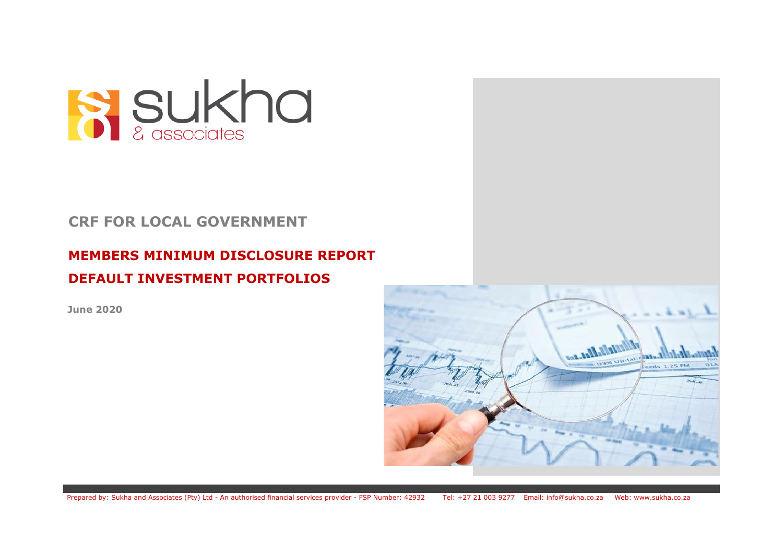

## **CRF FOR LOCAL GOVERNMENT**

# **MEMBERS MINIMUM DISCLOSURE REPORT DEFAULT INVESTMENT PORTFOLIOS**

**June 2020**

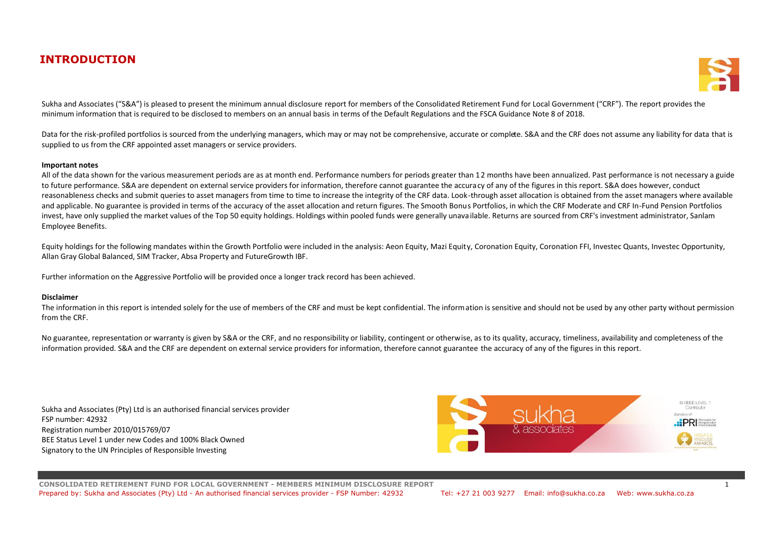## **INTRODUCTION**



Sukha and Associates ("S&A") is pleased to present the minimum annual disclosure report for members of the Consolidated Retirement Fund for Local Government ("CRF"). The report provides the minimum information that is required to be disclosed to members on an annual basis in terms of the Default Regulations and the FSCA Guidance Note 8 of 2018.

Data for the risk-profiled portfolios is sourced from the underlying managers, which may or may not be comprehensive, accurate or complete. S&A and the CRF does not assume any liability for data that is supplied to us from the CRF appointed asset managers or service providers.

## **Important notes**

All of the data shown for the various measurement periods are as at month end. Performance numbers for periods greater than 12 months have been annualized. Past performance is not necessary a guide to future performance. S&A are dependent on external service providers for information, therefore cannot guarantee the accuracy of any of the figures in this report. S&A does however, conduct reasonableness checks and submit queries to asset managers from time to time to increase the integrity of the CRF data. Look-through asset allocation is obtained from the asset managers where available and applicable. No guarantee is provided in terms of the accuracy of the asset allocation and return figures. The Smooth Bonus Portfolios, in which the CRF Moderate and CRF In-Fund Pension Portfolios invest, have only supplied the market values of the Top 50 equity holdings. Holdings within pooled funds were generally unavailable. Returns are sourced from CRF's investment administrator. Sanlam Employee Benefits.

Equity holdings for the following mandates within the Growth Portfolio were included in the analysis: Aeon Equity, Mazi Equity, Coronation Equity, Coronation FFI, Investec Quants, Investec Opportunity, Allan Gray Global Balanced, SIM Tracker, Absa Property and FutureGrowth IBF.

Further information on the Aggressive Portfolio will be provided once a longer track record has been achieved.

## **Disclaimer**

The information in this report is intended solely for the use of members of the CRF and must be kept confidential. The information is sensitive and should not be used by any other party without permission from the CRF.

No guarantee, representation or warranty is given by S&A or the CRF, and no responsibility or liability, contingent or otherwise, as to its quality, accuracy, timeliness, availability and completeness of the information provided. S&A and the CRF are dependent on external service providers for information, therefore cannot guarantee the accuracy of any of the figures in this report.

Sukha and Associates (Pty) Ltd is an authorised financial services provider FSP number: 42932 Registration number 2010/015769/07 BEE Status Level 1 under new Codes and 100% Black Owned Signatory to the UN Principles of Responsible Investing



**CONSOLIDATED RETIREMENT FUND FOR LOCAL GOVERNMENT - MEMBERS MINIMUM DISCLOSURE REPORT** 1 Prepared by: Sukha and Associates (Pty) Ltd - An authorised financial services provider - FSP Number: 42932 Tel: +27 21 003 9277 Email: info@sukha.co.za Web: www.sukha.co.za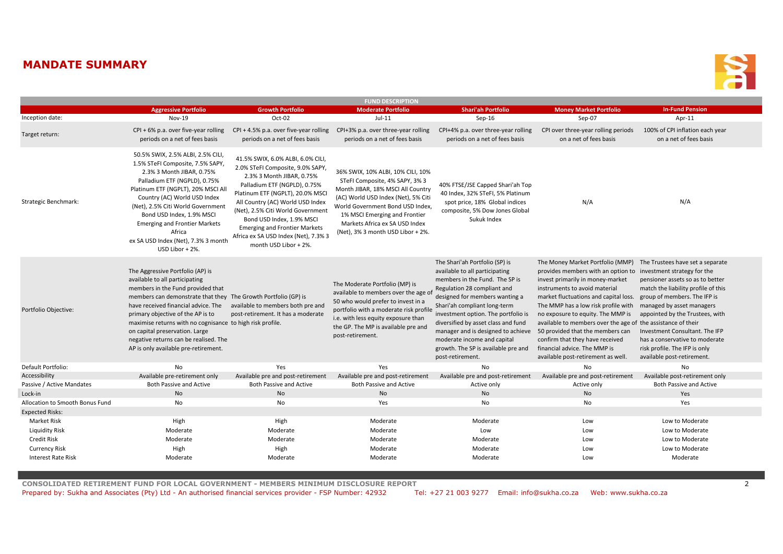## **MANDATE SUMMARY**



| <b>FUND DESCRIPTION</b>         |                                                                                                                                                                                                                                                                                                                                                                                                                                       |                                                                                                                                                                                                                                                                                                                                                                                       |                                                                                                                                                                                                                                                                                             |                                                                                                                                                                                                                                                                                                                                                                                                                   |                                                                                                                                                                                                                                                                                                                                                                                                                                                                                                                                        |                                                                                                                                                                                                                                                                                                                |  |  |  |
|---------------------------------|---------------------------------------------------------------------------------------------------------------------------------------------------------------------------------------------------------------------------------------------------------------------------------------------------------------------------------------------------------------------------------------------------------------------------------------|---------------------------------------------------------------------------------------------------------------------------------------------------------------------------------------------------------------------------------------------------------------------------------------------------------------------------------------------------------------------------------------|---------------------------------------------------------------------------------------------------------------------------------------------------------------------------------------------------------------------------------------------------------------------------------------------|-------------------------------------------------------------------------------------------------------------------------------------------------------------------------------------------------------------------------------------------------------------------------------------------------------------------------------------------------------------------------------------------------------------------|----------------------------------------------------------------------------------------------------------------------------------------------------------------------------------------------------------------------------------------------------------------------------------------------------------------------------------------------------------------------------------------------------------------------------------------------------------------------------------------------------------------------------------------|----------------------------------------------------------------------------------------------------------------------------------------------------------------------------------------------------------------------------------------------------------------------------------------------------------------|--|--|--|
|                                 | <b>Aggressive Portfolio</b>                                                                                                                                                                                                                                                                                                                                                                                                           | <b>Growth Portfolio</b>                                                                                                                                                                                                                                                                                                                                                               | <b>Moderate Portfolio</b>                                                                                                                                                                                                                                                                   | <b>Shari'ah Portfolio</b>                                                                                                                                                                                                                                                                                                                                                                                         | <b>Money Market Portfolio</b>                                                                                                                                                                                                                                                                                                                                                                                                                                                                                                          | <b>In-Fund Pension</b>                                                                                                                                                                                                                                                                                         |  |  |  |
| Inception date:                 | Nov-19                                                                                                                                                                                                                                                                                                                                                                                                                                | Oct-02                                                                                                                                                                                                                                                                                                                                                                                | $Jul-11$                                                                                                                                                                                                                                                                                    | Sep-16                                                                                                                                                                                                                                                                                                                                                                                                            | Sep-07                                                                                                                                                                                                                                                                                                                                                                                                                                                                                                                                 | Apr-11                                                                                                                                                                                                                                                                                                         |  |  |  |
| Target return:                  | $CPI + 6\%$ p.a. over five-year rolling<br>periods on a net of fees basis                                                                                                                                                                                                                                                                                                                                                             | $CPI + 4.5\%$ p.a. over five-year rolling<br>periods on a net of fees basis                                                                                                                                                                                                                                                                                                           | CPI+3% p.a. over three-year rolling<br>periods on a net of fees basis                                                                                                                                                                                                                       | CPI+4% p.a. over three-year rolling<br>periods on a net of fees basis                                                                                                                                                                                                                                                                                                                                             | CPI over three-year rolling periods<br>on a net of fees basis                                                                                                                                                                                                                                                                                                                                                                                                                                                                          | 100% of CPI inflation each year<br>on a net of fees basis                                                                                                                                                                                                                                                      |  |  |  |
| Strategic Benchmark:            | 50.5% SWIX, 2.5% ALBI, 2.5% CILI,<br>1.5% STeFI Composite, 7.5% SAPY,<br>2.3% 3 Month JIBAR, 0.75%<br>Palladium ETF (NGPLD), 0.75%<br>Platinum ETF (NGPLT), 20% MSCI All<br>Country (AC) World USD Index<br>(Net), 2.5% Citi World Government<br>Bond USD Index, 1.9% MSCI<br><b>Emerging and Frontier Markets</b><br>Africa<br>ex SA USD Index (Net), 7.3% 3 month<br>USD Libor + 2%.                                                | 41.5% SWIX, 6.0% ALBI, 6.0% CILI,<br>2.0% STeFI Composite, 9.0% SAPY,<br>2.3% 3 Month JIBAR, 0.75%<br>Palladium ETF (NGPLD), 0.75%<br>Platinum ETF (NGPLT), 20.0% MSCI<br>All Country (AC) World USD Index<br>(Net), 2.5% Citi World Government<br>Bond USD Index, 1.9% MSCI<br><b>Emerging and Frontier Markets</b><br>Africa ex SA USD Index (Net), 7.3% 3<br>month USD Libor + 2%. | 36% SWIX, 10% ALBI, 10% CILI, 10%<br>STeFI Composite, 4% SAPY, 3% 3<br>Month JIBAR, 18% MSCI All Country<br>(AC) World USD Index (Net), 5% Citi<br>World Government Bond USD Index,<br>1% MSCI Emerging and Frontier<br>Markets Africa ex SA USD Index<br>(Net), 3% 3 month USD Libor + 2%. | 40% FTSE/JSE Capped Shari'ah Top<br>40 Index, 32% STeFI, 5% Platinum<br>spot price, 18% Global indices<br>composite, 5% Dow Jones Global<br>Sukuk Index                                                                                                                                                                                                                                                           | N/A                                                                                                                                                                                                                                                                                                                                                                                                                                                                                                                                    | N/A                                                                                                                                                                                                                                                                                                            |  |  |  |
| Portfolio Objective:            | The Aggressive Portfolio (AP) is<br>available to all participating<br>members in the Fund provided that<br>members can demonstrate that they The Growth Portfolio (GP) is<br>have received financial advice. The<br>primary objective of the AP is to<br>maximise returns with no cognisance to high risk profile.<br>on capital preservation. Large<br>negative returns can be realised. The<br>AP is only available pre-retirement. | available to members both pre and<br>post-retirement. It has a moderate                                                                                                                                                                                                                                                                                                               | The Moderate Portfolio (MP) is<br>available to members over the age of<br>50 who would prefer to invest in a<br>portfolio with a moderate risk profile<br>i.e. with less equity exposure than<br>the GP. The MP is available pre and<br>post-retirement.                                    | The Shari'ah Portfolio (SP) is<br>available to all participating<br>members in the Fund. The SP is<br>Regulation 28 compliant and<br>designed for members wanting a<br>Shari'ah compliant long-term<br>investment option. The portfolio is<br>diversified by asset class and fund<br>manager and is designed to achieve<br>moderate income and capital<br>growth. The SP is available pre and<br>post-retirement. | The Money Market Portfolio (MMP)<br>provides members with an option to investment strategy for the<br>invest primarily in money-market<br>instruments to avoid material<br>market fluctuations and capital loss. group of members. The IFP is<br>The MMP has a low risk profile with<br>no exposure to equity. The MMP is<br>available to members over the age of the assistance of their<br>50 provided that the members can<br>confirm that they have received<br>financial advice. The MMP is<br>available post-retirement as well. | The Trustees have set a separate<br>pensioner assets so as to better<br>match the liability profile of this<br>managed by asset managers<br>appointed by the Trustees, with<br>Investment Consultant. The IFP<br>has a conservative to moderate<br>risk profile. The IFP is only<br>available post-retirement. |  |  |  |
| Default Portfolio:              | No                                                                                                                                                                                                                                                                                                                                                                                                                                    | Yes                                                                                                                                                                                                                                                                                                                                                                                   | Yes                                                                                                                                                                                                                                                                                         | No                                                                                                                                                                                                                                                                                                                                                                                                                | No                                                                                                                                                                                                                                                                                                                                                                                                                                                                                                                                     | No                                                                                                                                                                                                                                                                                                             |  |  |  |
| Accessibility                   | Available pre-retirement only                                                                                                                                                                                                                                                                                                                                                                                                         | Available pre and post-retirement                                                                                                                                                                                                                                                                                                                                                     | Available pre and post-retirement                                                                                                                                                                                                                                                           | Available pre and post-retirement                                                                                                                                                                                                                                                                                                                                                                                 | Available pre and post-retirement                                                                                                                                                                                                                                                                                                                                                                                                                                                                                                      | Available post-retirement only                                                                                                                                                                                                                                                                                 |  |  |  |
| Passive / Active Mandates       | <b>Both Passive and Active</b>                                                                                                                                                                                                                                                                                                                                                                                                        | <b>Both Passive and Active</b>                                                                                                                                                                                                                                                                                                                                                        | <b>Both Passive and Active</b>                                                                                                                                                                                                                                                              | Active only                                                                                                                                                                                                                                                                                                                                                                                                       | Active only                                                                                                                                                                                                                                                                                                                                                                                                                                                                                                                            | <b>Both Passive and Active</b>                                                                                                                                                                                                                                                                                 |  |  |  |
| Lock-in                         | <b>No</b>                                                                                                                                                                                                                                                                                                                                                                                                                             | <b>No</b>                                                                                                                                                                                                                                                                                                                                                                             | N <sub>o</sub>                                                                                                                                                                                                                                                                              | <b>No</b>                                                                                                                                                                                                                                                                                                                                                                                                         | <b>No</b>                                                                                                                                                                                                                                                                                                                                                                                                                                                                                                                              | Yes                                                                                                                                                                                                                                                                                                            |  |  |  |
| Allocation to Smooth Bonus Fund | No                                                                                                                                                                                                                                                                                                                                                                                                                                    | No                                                                                                                                                                                                                                                                                                                                                                                    | Yes                                                                                                                                                                                                                                                                                         | No                                                                                                                                                                                                                                                                                                                                                                                                                | No.                                                                                                                                                                                                                                                                                                                                                                                                                                                                                                                                    | Yes                                                                                                                                                                                                                                                                                                            |  |  |  |
| <b>Expected Risks:</b>          |                                                                                                                                                                                                                                                                                                                                                                                                                                       |                                                                                                                                                                                                                                                                                                                                                                                       |                                                                                                                                                                                                                                                                                             |                                                                                                                                                                                                                                                                                                                                                                                                                   |                                                                                                                                                                                                                                                                                                                                                                                                                                                                                                                                        |                                                                                                                                                                                                                                                                                                                |  |  |  |
| Market Risk                     | High                                                                                                                                                                                                                                                                                                                                                                                                                                  | High                                                                                                                                                                                                                                                                                                                                                                                  | Moderate                                                                                                                                                                                                                                                                                    | Moderate                                                                                                                                                                                                                                                                                                                                                                                                          | Low                                                                                                                                                                                                                                                                                                                                                                                                                                                                                                                                    | Low to Moderate                                                                                                                                                                                                                                                                                                |  |  |  |
| Liquidity Risk                  | Moderate                                                                                                                                                                                                                                                                                                                                                                                                                              | Moderate                                                                                                                                                                                                                                                                                                                                                                              | Moderate                                                                                                                                                                                                                                                                                    | Low                                                                                                                                                                                                                                                                                                                                                                                                               | Low                                                                                                                                                                                                                                                                                                                                                                                                                                                                                                                                    | Low to Moderate                                                                                                                                                                                                                                                                                                |  |  |  |
| <b>Credit Risk</b>              | Moderate                                                                                                                                                                                                                                                                                                                                                                                                                              | Moderate                                                                                                                                                                                                                                                                                                                                                                              | Moderate                                                                                                                                                                                                                                                                                    | Moderate                                                                                                                                                                                                                                                                                                                                                                                                          | Low                                                                                                                                                                                                                                                                                                                                                                                                                                                                                                                                    | Low to Moderate                                                                                                                                                                                                                                                                                                |  |  |  |
| <b>Currency Risk</b>            | High                                                                                                                                                                                                                                                                                                                                                                                                                                  | High                                                                                                                                                                                                                                                                                                                                                                                  | Moderate                                                                                                                                                                                                                                                                                    | Moderate                                                                                                                                                                                                                                                                                                                                                                                                          | Low                                                                                                                                                                                                                                                                                                                                                                                                                                                                                                                                    | Low to Moderate                                                                                                                                                                                                                                                                                                |  |  |  |
| <b>Interest Rate Risk</b>       | Moderate                                                                                                                                                                                                                                                                                                                                                                                                                              | Moderate                                                                                                                                                                                                                                                                                                                                                                              | Moderate                                                                                                                                                                                                                                                                                    | Moderate                                                                                                                                                                                                                                                                                                                                                                                                          | Low                                                                                                                                                                                                                                                                                                                                                                                                                                                                                                                                    | Moderate                                                                                                                                                                                                                                                                                                       |  |  |  |

**CONSOLIDATED RETIREMENT FUND FOR LOCAL GOVERNMENT - MEMBERS MINIMUM DISCLOSURE REPORT** 2

Prepared by: Sukha and Associates (Pty) Ltd - An authorised financial services provider - FSP Number: 42932 Tel: +27 21 003 9277 Email: info@sukha.co.za Web: www.sukha.co.za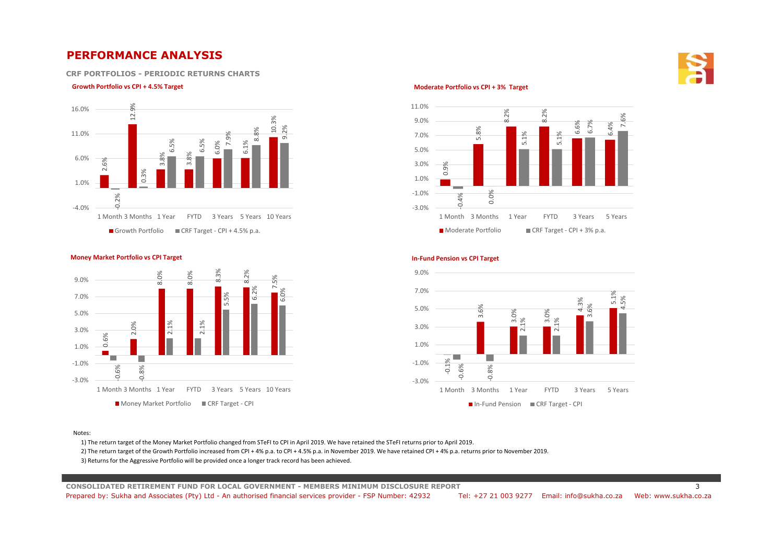## **PERFORMANCE ANALYSIS**

**CRF PORTFOLIOS - PERIODIC RETURNS CHARTS**

### **Growth Portfolio vs CPI + 4.5% Target COVIDENT CONSUMING THE CONSUMING TO A COVID-00 CPI + 3% Target** COVID-00 CPI + 3% Target









Notes:

1) The return target of the Money Market Portfolio changed from STeFI to CPI in April 2019. We have retained the STeFI returns prior to April 2019.

2) The return target of the Growth Portfolio increased from CPI + 4% p.a. to CPI + 4.5% p.a. in November 2019. We have retained CPI + 4% p.a. returns prior to November 2019.

3) Returns for the Aggressive Portfolio will be provided once a longer track record has been achieved.

**CONSOLIDATED RETIREMENT FUND FOR LOCAL GOVERNMENT - MEMBERS MINIMUM DISCLOSURE REPORT** 3 Prepared by: Sukha and Associates (Pty) Ltd - An authorised financial services provider - FSP Number: 42932 Tel: +27 21 003 9277 Email: info@sukha.co.za Web: www.sukha.co.za

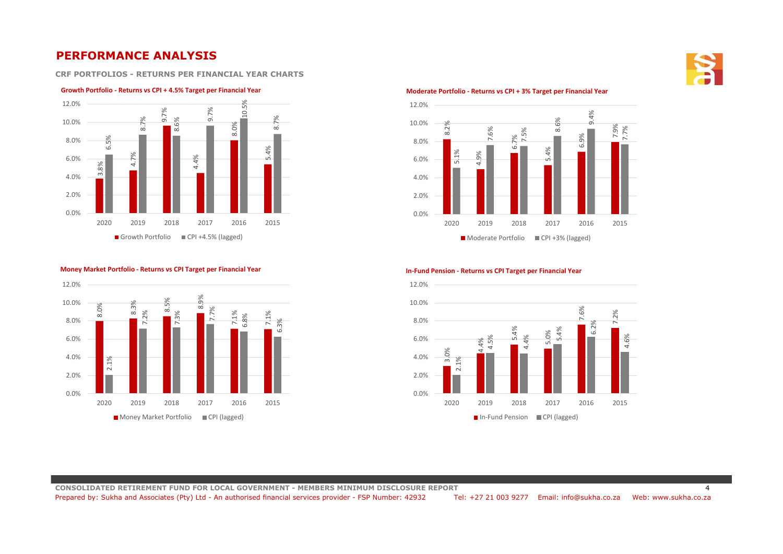## **PERFORMANCE ANALYSIS**

**CRF PORTFOLIOS - RETURNS PER FINANCIAL YEAR CHARTS**

### **Growth Portfolio - Returns vs CPI + 4.5% Target per Financial Year**



**Money Market Portfolio - Returns vs CPI Target per Financial Year**



<sup>8.0%</sup>  $\alpha$ 8.5%  $\infty$ 7.1% 7.1%  $\alpha$ 7.2% 7.3% 7.7% 6.8%  $\overline{6}$ 0.0% 2.0% 4.0% 6.0% 8.0% 10.0% 12.0% 2020 2019 2018 2017 2016 2015 ■ Money Market Portfolio ■ CPI (lagged)

#### **In-Fund Pension - Returns vs CPI Target per Financial Year**

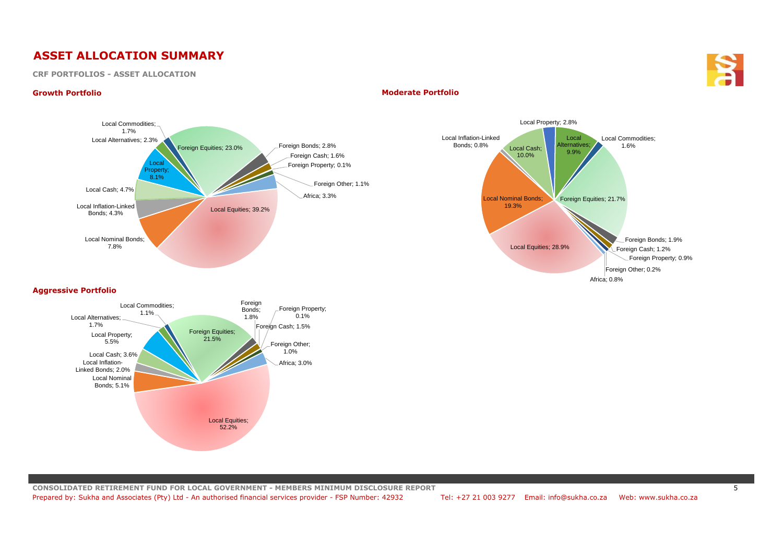## **ASSET ALLOCATION SUMMARY**

## **CRF PORTFOLIOS - ASSET ALLOCATION**



## **Growth Portfolio Moderate Portfolio**





## **Aggressive Portfolio**

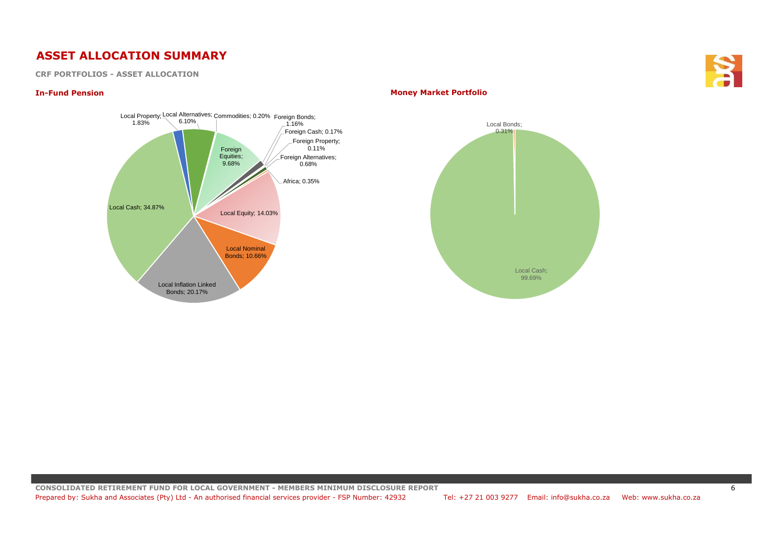## **ASSET ALLOCATION SUMMARY**

**CRF PORTFOLIOS - ASSET ALLOCATION**



## **In-Fund Pension Money Market Portfolio**

**CONSOLIDATED RETIREMENT FUND FOR LOCAL GOVERNMENT - MEMBERS MINIMUM DISCLOSURE REPORT** 6 Prepared by: Sukha and Associates (Pty) Ltd - An authorised financial services provider - FSP Number: 42932 Tel: +27 21 003 9277 Email: info@sukha.co.za Web: www.sukha.co.za

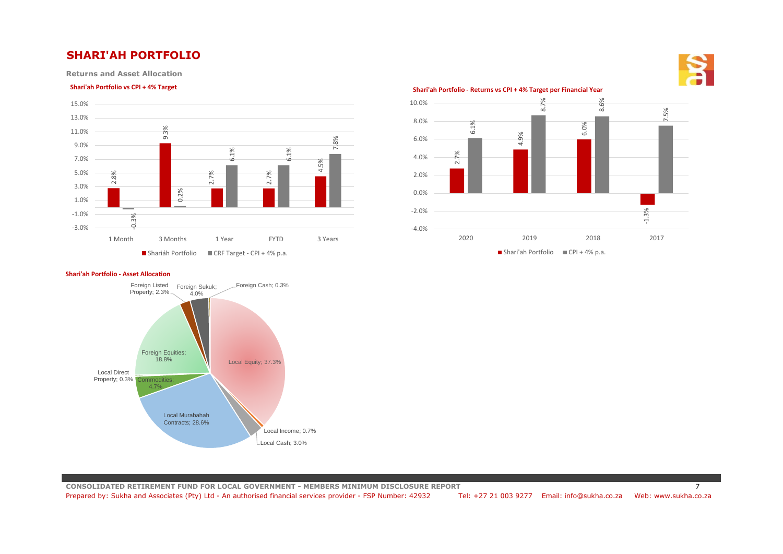## **SHARI'AH PORTFOLIO**

**Returns and Asset Allocation** 



## **Shari'ah Portfolio vs CPI + 4% Target Shari'ah Portfolio - Returns vs CPI + 4% Target per Financial Year**



#### **Shari'ah Portfolio - Asset Allocation**



**CONSOLIDATED RETIREMENT FUND FOR LOCAL GOVERNMENT - MEMBERS MINIMUM DISCLOSURE REPORT** 7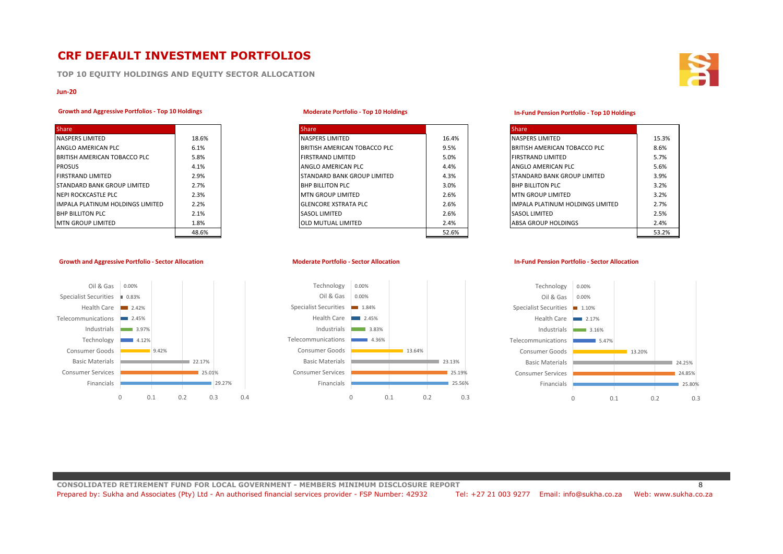## **CRF DEFAULT INVESTMENT PORTFOLIOS**

**TOP 10 EQUITY HOLDINGS AND EQUITY SECTOR ALLOCATION**

### **Jun-20**

## **Growth and Aggressive Portfolios - Top 10 Holdings**

| <b>Share</b>                     |       |
|----------------------------------|-------|
| <b>NASPERS LIMITED</b>           | 18.6% |
| ANGLO AMERICAN PLC               | 6.1%  |
| BRITISH AMERICAN TOBACCO PLC     | 5.8%  |
| <b>PROSUS</b>                    | 4.1%  |
| <b>FIRSTRAND LIMITED</b>         | 2.9%  |
| STANDARD BANK GROUP LIMITED      | 2.7%  |
| <b>NEPI ROCKCASTLE PLC</b>       | 2.3%  |
| IMPALA PLATINUM HOLDINGS LIMITED | 2.2%  |
| <b>BHP BILLITON PLC</b>          | 2.1%  |
| <b>MTN GROUP LIMITED</b>         | 1.8%  |
|                                  | 48.6% |

**Growth and Aggressive Portfolio - Sector Allocation**

### **Moderate Portfolio - Top 10 Holdings**

| <b>Share</b>                     |       | <b>Share</b>                       |       | <b>Share</b>                            |       |
|----------------------------------|-------|------------------------------------|-------|-----------------------------------------|-------|
| NASPERS LIMITED                  | 18.6% | <b>NASPERS LIMITED</b>             | 16.4% | <b>NASPERS LIMITED</b>                  | 15.3% |
| ANGLO AMERICAN PLC               | 6.1%  | BRITISH AMERICAN TOBACCO PLC       | 9.5%  | BRITISH AMERICAN TOBACCO PLC            | 8.6%  |
| BRITISH AMERICAN TOBACCO PLC     | 5.8%  | <b>FIRSTRAND LIMITED</b>           | 5.0%  | <b>FIRSTRAND LIMITED</b>                | 5.7%  |
| PROSUS                           | 4.1%  | ANGLO AMERICAN PLC                 | 4.4%  | ANGLO AMERICAN PLC                      | 5.6%  |
| <b>FIRSTRAND LIMITED</b>         | 2.9%  | <b>STANDARD BANK GROUP LIMITED</b> | 4.3%  | <b>STANDARD BANK GROUP LIMITED</b>      | 3.9%  |
| STANDARD BANK GROUP LIMITED      | 2.7%  | <b>BHP BILLITON PLC</b>            | 3.0%  | <b>BHP BILLITON PLC</b>                 | 3.2%  |
| NEPI ROCKCASTLE PLC              | 2.3%  | <b>MTN GROUP LIMITED</b>           | 2.6%  | <b>IMTN GROUP LIMITED</b>               | 3.2%  |
| IMPALA PLATINUM HOLDINGS LIMITED | 2.2%  | <b>IGLENCORE XSTRATA PLC</b>       | 2.6%  | <b>IMPALA PLATINUM HOLDINGS LIMITED</b> | 2.7%  |
| <b>BHP BILLITON PLC</b>          | 2.1%  | <b>SASOL LIMITED</b>               | 2.6%  | <b>SASOL LIMITED</b>                    | 2.5%  |
| MTN GROUP LIMITED                | 1.8%  | <b>OLD MUTUAL LIMITED</b>          | 2.4%  | <b>ABSA GROUP HOLDINGS</b>              | 2.4%  |
|                                  | 48.6% |                                    | 52.6% |                                         | 53.2% |

### **Moderate Portfolio - Sector Allocation**



#### **In-Fund Pension Portfolio - Top 10 Holdings**

| <b>Share</b>                     |       |
|----------------------------------|-------|
| <b>NASPERS LIMITED</b>           | 15.3% |
| BRITISH AMERICAN TOBACCO PLC     | 8.6%  |
| <b>FIRSTRAND LIMITED</b>         | 5.7%  |
| ANGLO AMERICAN PLC               | 5.6%  |
| STANDARD BANK GROUP LIMITED      | 3.9%  |
| <b>BHP BILLITON PLC</b>          | 3.2%  |
| <b>MTN GROUP LIMITED</b>         | 3.2%  |
| IMPALA PLATINUM HOLDINGS LIMITED | 2.7%  |
| <b>SASOL LIMITED</b>             | 2.5%  |
| <b>ABSA GROUP HOLDINGS</b>       | 2.4%  |
|                                  | 53.2% |

#### **In-Fund Pension Portfolio - Sector Allocation**



**CONSOLIDATED RETIREMENT FUND FOR LOCAL GOVERNMENT - MEMBERS MINIMUM DISCLOSURE REPORT** 8 Prepared by: Sukha and Associates (Pty) Ltd - An authorised financial services provider - FSP Number: 42932 Tel: +27 21 003 9277 Email: info@sukha.co.za Web: www.sukha.co.za